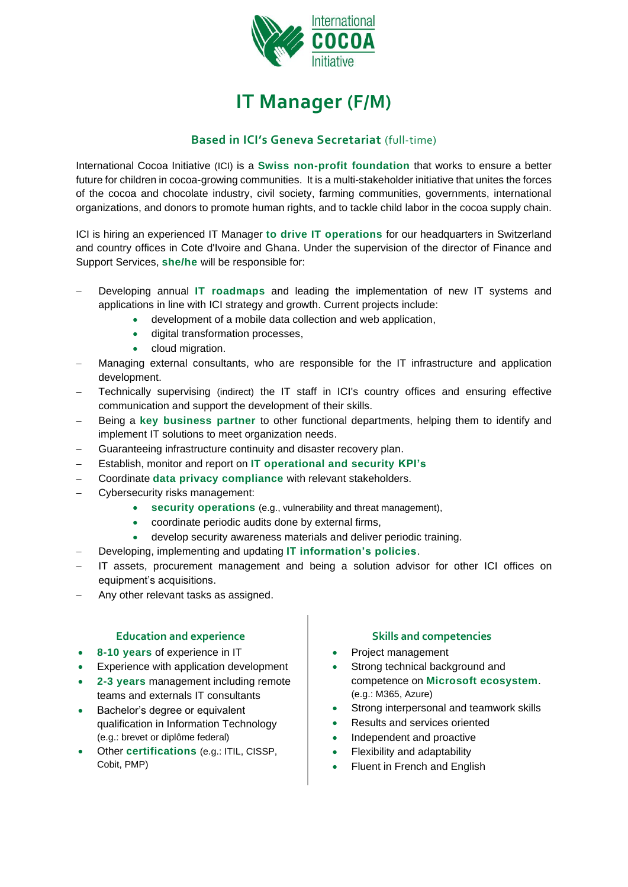

## **IT Manager (F/M)**

## **Based in ICI's Geneva Secretariat** (full-time)

International Cocoa Initiative (ICI) is a **Swiss non-profit foundation** that works to ensure a better future for children in cocoa-growing communities. It is a multi-stakeholder initiative that unites the forces of the cocoa and chocolate industry, civil society, farming communities, governments, international organizations, and donors to promote human rights, and to tackle child labor in the cocoa supply chain.

ICI is hiring an experienced IT Manager **to drive IT operations** for our headquarters in Switzerland and country offices in Cote d'Ivoire and Ghana. Under the supervision of the director of Finance and Support Services, **she/he** will be responsible for:

- − Developing annual **IT roadmaps** and leading the implementation of new IT systems and applications in line with ICI strategy and growth. Current projects include:
	- development of a mobile data collection and web application,
	- digital transformation processes.
	- cloud migration.
- Managing external consultants, who are responsible for the IT infrastructure and application development.
- Technically supervising (indirect) the IT staff in ICI's country offices and ensuring effective communication and support the development of their skills.
- − Being a **key business partner** to other functional departments, helping them to identify and implement IT solutions to meet organization needs.
- Guaranteeing infrastructure continuity and disaster recovery plan.
- − Establish, monitor and report on **IT operational and security KPI's**
- − Coordinate **data privacy compliance** with relevant stakeholders.
- − Cybersecurity risks management:
	- security operations (e.g., vulnerability and threat management),
	- coordinate periodic audits done by external firms,
	- develop security awareness materials and deliver periodic training.
- − Developing, implementing and updating **IT information's policies**.
- IT assets, procurement management and being a solution advisor for other ICI offices on equipment's acquisitions.
- Any other relevant tasks as assigned.

## **Education and experience Skills and competencies**

- **8-10 years** of experience in IT
- Experience with application development
- **2-3 years** management including remote teams and externals IT consultants
- Bachelor's degree or equivalent qualification in Information Technology (e.g.: brevet or diplôme federal)
- Other **certifications** (e.g.: ITIL, CISSP, Cobit, PMP)

- Project management
- Strong technical background and competence on **Microsoft ecosystem**. (e.g.: M365, Azure)
- Strong interpersonal and teamwork skills
- Results and services oriented
- Independent and proactive
- Flexibility and adaptability
- Fluent in French and English